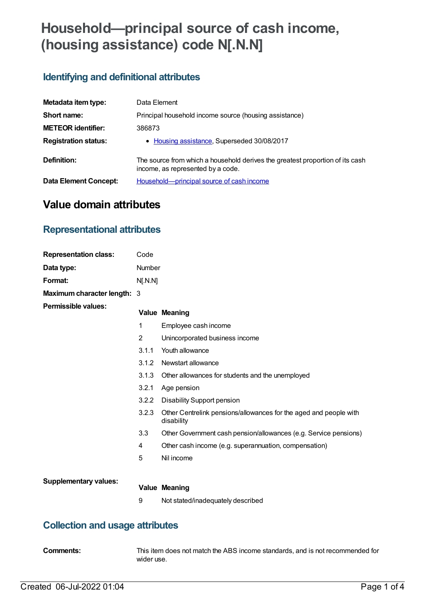# **Household—principal source of cash income, (housing assistance) code N[.N.N]**

## **Identifying and definitional attributes**

| Metadata item type:         | Data Element                                                                                                       |
|-----------------------------|--------------------------------------------------------------------------------------------------------------------|
| Short name:                 | Principal household income source (housing assistance)                                                             |
| <b>METEOR identifier:</b>   | 386873                                                                                                             |
| <b>Registration status:</b> | • Housing assistance, Superseded 30/08/2017                                                                        |
| Definition:                 | The source from which a household derives the greatest proportion of its cash<br>income, as represented by a code. |
| Data Element Concept:       | Household—principal source of cash income                                                                          |

# **Value domain attributes**

### **Representational attributes**

| <b>Representation class:</b> | Code     |                                                                                 |  |
|------------------------------|----------|---------------------------------------------------------------------------------|--|
| Data type:                   | Number   |                                                                                 |  |
| Format:                      | N[. N.N] |                                                                                 |  |
| Maximum character length: 3  |          |                                                                                 |  |
| <b>Permissible values:</b>   |          | <b>Value Meaning</b>                                                            |  |
|                              | 1        | Employee cash income                                                            |  |
|                              | 2        | Unincorporated business income                                                  |  |
|                              | 3.1.1    | Youth allowance                                                                 |  |
|                              | 3.1.2    | Newstart allowance                                                              |  |
|                              | 3.1.3    | Other allowances for students and the unemployed                                |  |
|                              | 3.2.1    | Age pension                                                                     |  |
|                              | 3.2.2    | Disability Support pension                                                      |  |
|                              | 3.2.3    | Other Centrelink pensions/allowances for the aged and people with<br>disability |  |
|                              | 3.3      | Other Government cash pension/allowances (e.g. Service pensions)                |  |
|                              | 4        | Other cash income (e.g. superannuation, compensation)                           |  |
|                              | 5        | Nil income                                                                      |  |
|                              |          |                                                                                 |  |
| <b>Supplementary values:</b> |          | <b>Value Meaning</b>                                                            |  |
|                              | 9        | Not stated/inadequately described                                               |  |

### **Collection and usage attributes**

**Comments:** This item does not match the ABS income standards, and is not recommended for wider use.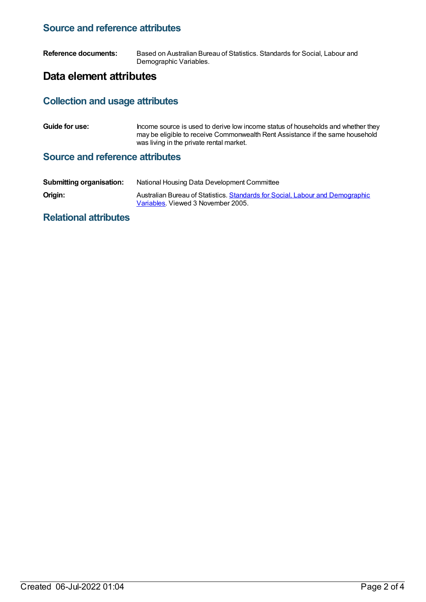#### **Source and reference attributes**

**Reference documents:** Based on Australian Bureau of Statistics. Standards for Social, Labour and Demographic Variables.

#### **Data element attributes**

# **Collection and usage attributes**

**Guide for use:** Income source is used to derive low income status of households and whether they may be eligible to receive Commonwealth Rent Assistance if the same household was living in the private rental market.

#### **Source and reference attributes**

| <b>Submitting organisation:</b> | National Housing Data Development Committee                                                                         |
|---------------------------------|---------------------------------------------------------------------------------------------------------------------|
| Origin:                         | Australian Bureau of Statistics. Standards for Social, Labour and Demographic<br>Variables. Viewed 3 November 2005. |

#### **Relational attributes**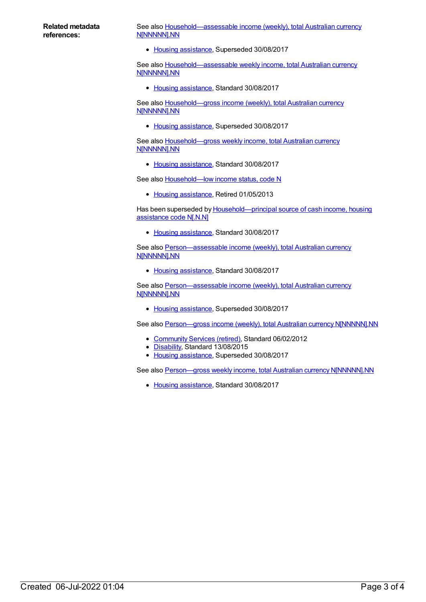#### **Related metadata references:**

See also [Household—assessable](https://meteor.aihw.gov.au/content/462194) income (weekly), total Australian currency N[NNNNN].NN

• Housing [assistance](https://meteor.aihw.gov.au/RegistrationAuthority/11), Superseded 30/08/2017

See also [Household—assessable](https://meteor.aihw.gov.au/content/595877) weekly income, total Australian currency N[NNNNN].NN

• Housing [assistance](https://meteor.aihw.gov.au/RegistrationAuthority/11), Standard 30/08/2017

See also Household-gross income (weekly), total Australian currency N[NNNNN].NN

• Housing [assistance](https://meteor.aihw.gov.au/RegistrationAuthority/11), Superseded 30/08/2017

See also [Household—gross](https://meteor.aihw.gov.au/content/607882) weekly income, total Australian currency N[NNNNN].NN

• Housing [assistance](https://meteor.aihw.gov.au/RegistrationAuthority/11), Standard 30/08/2017

See also **[Household—low](https://meteor.aihw.gov.au/content/302506) income status, code N** 

• Housing [assistance](https://meteor.aihw.gov.au/RegistrationAuthority/11), Retired 01/05/2013

Has been superseded by **[Household—principal](https://meteor.aihw.gov.au/content/608480) source of cash income**, housing assistance code N[.N.N]

• Housing [assistance](https://meteor.aihw.gov.au/RegistrationAuthority/11), Standard 30/08/2017

See also [Person—assessable](https://meteor.aihw.gov.au/content/595870) income (weekly), total Australian currency N[NNNNN].NN

• Housing [assistance](https://meteor.aihw.gov.au/RegistrationAuthority/11), Standard 30/08/2017

See also Person-assessable income (weekly), total Australian currency N[NNNNN].NN

• Housing [assistance](https://meteor.aihw.gov.au/RegistrationAuthority/11), Superseded 30/08/2017

See also Person-gross income (weekly), total Australian currency N[NNNNN].NN

- [Community](https://meteor.aihw.gov.au/RegistrationAuthority/1) Services (retired), Standard 06/02/2012
- [Disability](https://meteor.aihw.gov.au/RegistrationAuthority/16), Standard 13/08/2015
- Housing [assistance](https://meteor.aihw.gov.au/RegistrationAuthority/11), Superseded 30/08/2017

See also Person-gross weekly income, total Australian currency N[NNNNN].NN

• Housing [assistance](https://meteor.aihw.gov.au/RegistrationAuthority/11), Standard 30/08/2017